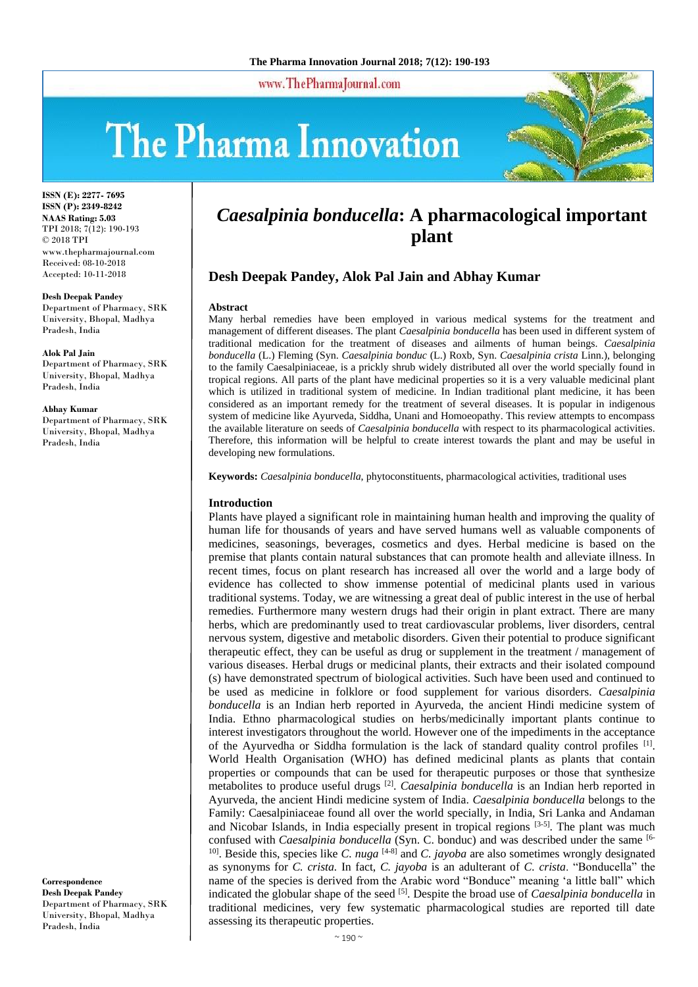www.ThePharmaJournal.com

# The Pharma Innovation



**ISSN (E): 2277- 7695 ISSN (P): 2349-8242 NAAS Rating: 5.03** TPI 2018; 7(12): 190-193 © 2018 TPI www.thepharmajournal.com Received: 08-10-2018 Accepted: 10-11-2018

#### **Desh Deepak Pandey**

Department of Pharmacy, SRK University, Bhopal, Madhya Pradesh, India

**Alok Pal Jain** Department of Pharmacy, SRK University, Bhopal, Madhya Pradesh, India

#### **Abhay Kumar**

Department of Pharmacy, SRK University, Bhopal, Madhya Pradesh, India

**Correspondence Desh Deepak Pandey** Department of Pharmacy, SRK University, Bhopal, Madhya Pradesh, India

# *Caesalpinia bonducella***: A pharmacological important plant**

# **Desh Deepak Pandey, Alok Pal Jain and Abhay Kumar**

#### **Abstract**

Many herbal remedies have been employed in various medical systems for the treatment and management of different diseases. The plant *Caesalpinia bonducella* has been used in different system of traditional medication for the treatment of diseases and ailments of human beings. *Caesalpinia bonducella* (L.) Fleming (Syn. *Caesalpinia bonduc* (L.) Roxb, Syn. *Caesalpinia crista* Linn.), belonging to the family Caesalpiniaceae, is a prickly shrub widely distributed all over the world specially found in tropical regions. All parts of the plant have medicinal properties so it is a very valuable medicinal plant which is utilized in traditional system of medicine. In Indian traditional plant medicine, it has been considered as an important remedy for the treatment of several diseases. It is popular in indigenous system of medicine like Ayurveda, Siddha, Unani and Homoeopathy. This review attempts to encompass the available literature on seeds of *Caesalpinia bonducella* with respect to its pharmacological activities. Therefore, this information will be helpful to create interest towards the plant and may be useful in developing new formulations.

**Keywords:** *Caesalpinia bonducella*, phytoconstituents, pharmacological activities, traditional uses

#### **Introduction**

Plants have played a significant role in maintaining human health and improving the quality of human life for thousands of years and have served humans well as valuable components of medicines, seasonings, beverages, cosmetics and dyes. Herbal medicine is based on the premise that plants contain natural substances that can promote health and alleviate illness. In recent times, focus on plant research has increased all over the world and a large body of evidence has collected to show immense potential of medicinal plants used in various traditional systems. Today, we are witnessing a great deal of public interest in the use of herbal remedies. Furthermore many western drugs had their origin in plant extract. There are many herbs, which are predominantly used to treat cardiovascular problems, liver disorders, central nervous system, digestive and metabolic disorders. Given their potential to produce significant therapeutic effect, they can be useful as drug or supplement in the treatment / management of various diseases. Herbal drugs or medicinal plants, their extracts and their isolated compound (s) have demonstrated spectrum of biological activities. Such have been used and continued to be used as medicine in folklore or food supplement for various disorders. *Caesalpinia bonducella* is an Indian herb reported in Ayurveda, the ancient Hindi medicine system of India. Ethno pharmacological studies on herbs/medicinally important plants continue to interest investigators throughout the world. However one of the impediments in the acceptance of the Ayurvedha or Siddha formulation is the lack of standard quality control profiles <sup>[1]</sup>. World Health Organisation (WHO) has defined medicinal plants as plants that contain properties or compounds that can be used for therapeutic purposes or those that synthesize metabolites to produce useful drugs [2] . *Caesalpinia bonducella* is an Indian herb reported in Ayurveda, the ancient Hindi medicine system of India. *Caesalpinia bonducella* belongs to the Family: Caesalpiniaceae found all over the world specially, in India, Sri Lanka and Andaman and Nicobar Islands, in India especially present in tropical regions [3-5]. The plant was much confused with *Caesalpinia bonducella* (Syn. C. bonduc) and was described under the same <sup>[6-</sup> <sup>10]</sup>. Beside this, species like *C. nuga* <sup>[4-8]</sup> and *C. jayoba* are also sometimes wrongly designated as synonyms for *C. crista.* In fact, *C. jayoba* is an adulterant of *C. crista*. "Bonducella" the name of the species is derived from the Arabic word "Bonduce" meaning 'a little ball" which indicated the globular shape of the seed [5]. Despite the broad use of *Caesalpinia bonducella* in traditional medicines, very few systematic pharmacological studies are reported till date assessing its therapeutic properties.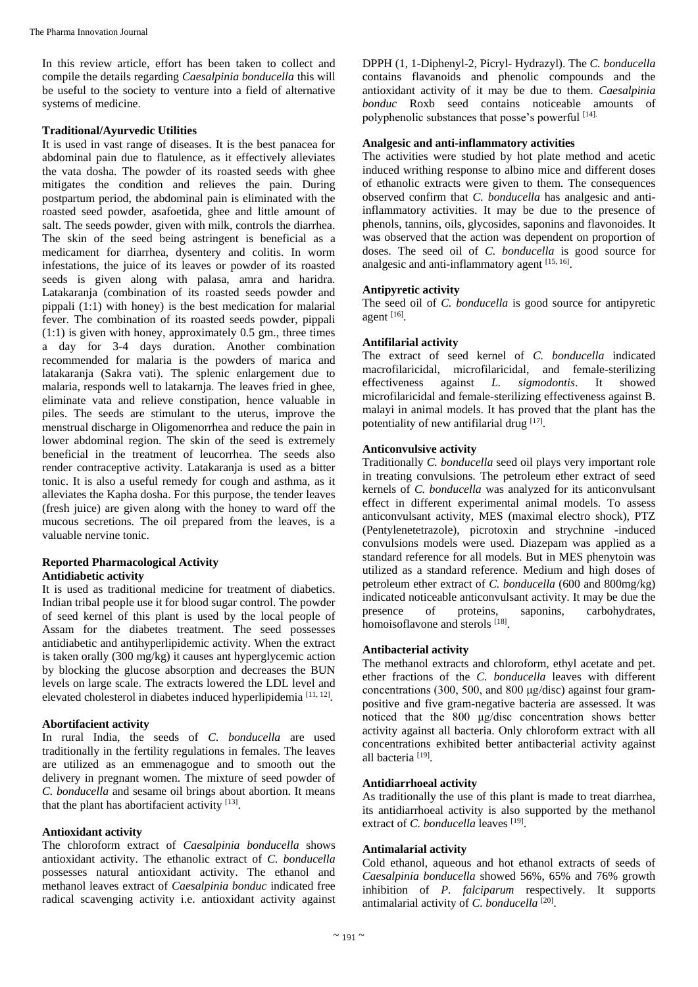In this review article, effort has been taken to collect and compile the details regarding *Caesalpinia bonducella* this will be useful to the society to venture into a field of alternative systems of medicine.

# **Traditional/Ayurvedic Utilities**

It is used in vast range of diseases. It is the best panacea for abdominal pain due to flatulence, as it effectively alleviates the vata dosha. The powder of its roasted seeds with ghee mitigates the condition and relieves the pain. During postpartum period, the abdominal pain is eliminated with the roasted seed powder, asafoetida, ghee and little amount of salt. The seeds powder, given with milk, controls the diarrhea. The skin of the seed being astringent is beneficial as a medicament for diarrhea, dysentery and colitis. In worm infestations, the juice of its leaves or powder of its roasted seeds is given along with palasa, amra and haridra. Latakaranja (combination of its roasted seeds powder and pippali (1:1) with honey) is the best medication for malarial fever. The combination of its roasted seeds powder, pippali (1:1) is given with honey, approximately 0.5 gm., three times a day for 3-4 days duration. Another combination recommended for malaria is the powders of marica and latakaranja (Sakra vati). The splenic enlargement due to malaria, responds well to latakarnja. The leaves fried in ghee, eliminate vata and relieve constipation, hence valuable in piles. The seeds are stimulant to the uterus, improve the menstrual discharge in Oligomenorrhea and reduce the pain in lower abdominal region. The skin of the seed is extremely beneficial in the treatment of leucorrhea. The seeds also render contraceptive activity. Latakaranja is used as a bitter tonic. It is also a useful remedy for cough and asthma, as it alleviates the Kapha dosha. For this purpose, the tender leaves (fresh juice) are given along with the honey to ward off the mucous secretions. The oil prepared from the leaves, is a valuable nervine tonic.

# **Reported Pharmacological Activity Antidiabetic activity**

It is used as traditional medicine for treatment of diabetics. Indian tribal people use it for blood sugar control. The powder of seed kernel of this plant is used by the local people of Assam for the diabetes treatment. The seed possesses antidiabetic and antihyperlipidemic activity. When the extract is taken orally (300 mg/kg) it causes ant hyperglycemic action by blocking the glucose absorption and decreases the BUN levels on large scale. The extracts lowered the LDL level and elevated cholesterol in diabetes induced hyperlipidemia<sup>[11, 12]</sup>.

# **Abortifacient activity**

In rural India, the seeds of *C. bonducella* are used traditionally in the fertility regulations in females. The leaves are utilized as an emmenagogue and to smooth out the delivery in pregnant women. The mixture of seed powder of *C. bonducella* and sesame oil brings about abortion. It means that the plant has abortifacient activity [13].

# **Antioxidant activity**

The chloroform extract of *Caesalpinia bonducella* shows antioxidant activity. The ethanolic extract of *C. bonducella* possesses natural antioxidant activity. The ethanol and methanol leaves extract of *Caesalpinia bonduc* indicated free radical scavenging activity i.e. antioxidant activity against DPPH (1, 1-Diphenyl-2, Picryl- Hydrazyl). The *C. bonducella* contains flavanoids and phenolic compounds and the antioxidant activity of it may be due to them. *Caesalpinia bonduc* Roxb seed contains noticeable amounts of polyphenolic substances that posse's powerful [14].

# **Analgesic and anti-inflammatory activities**

The activities were studied by hot plate method and acetic induced writhing response to albino mice and different doses of ethanolic extracts were given to them. The consequences observed confirm that *C. bonducella* has analgesic and antiinflammatory activities. It may be due to the presence of phenols, tannins, oils, glycosides, saponins and flavonoides. It was observed that the action was dependent on proportion of doses. The seed oil of *C. bonducella* is good source for analgesic and anti-inflammatory agent [15, 16].

# **Antipyretic activity**

The seed oil of *C. bonducella* is good source for antipyretic agent [16].

# **Antifilarial activity**

The extract of seed kernel of *C. bonducella* indicated macrofilaricidal, microfilaricidal, and female-sterilizing effectiveness against *L. sigmodontis*. It showed microfilaricidal and female-sterilizing effectiveness against B. malayi in animal models. It has proved that the plant has the potentiality of new antifilarial drug [17].

# **Anticonvulsive activity**

Traditionally *C. bonducella* seed oil plays very important role in treating convulsions. The petroleum ether extract of seed kernels of *C. bonducella* was analyzed for its anticonvulsant effect in different experimental animal models. To assess anticonvulsant activity, MES (maximal electro shock), PTZ (Pentylenetetrazole), picrotoxin and strychnine -induced convulsions models were used. Diazepam was applied as a standard reference for all models. But in MES phenytoin was utilized as a standard reference. Medium and high doses of petroleum ether extract of *C. bonducella* (600 and 800mg/kg) indicated noticeable anticonvulsant activity. It may be due the presence of proteins, saponins, carbohydrates, homoisoflavone and sterols [18].

# **Antibacterial activity**

The methanol extracts and chloroform, ethyl acetate and pet. ether fractions of the *C. bonducella* leaves with different concentrations (300, 500, and 800 μg/disc) against four grampositive and five gram-negative bacteria are assessed. It was noticed that the 800 μg/disc concentration shows better activity against all bacteria. Only chloroform extract with all concentrations exhibited better antibacterial activity against all bacteria<sup>[19]</sup>.

#### **Antidiarrhoeal activity**

As traditionally the use of this plant is made to treat diarrhea, its antidiarrhoeal activity is also supported by the methanol extract of *C. bonducella* leaves [19].

#### **Antimalarial activity**

Cold ethanol, aqueous and hot ethanol extracts of seeds of *Caesalpinia bonducella* showed 56%, 65% and 76% growth inhibition of *P. falciparum* respectively. It supports antimalarial activity of *C. bonducella*<sup>[20]</sup>.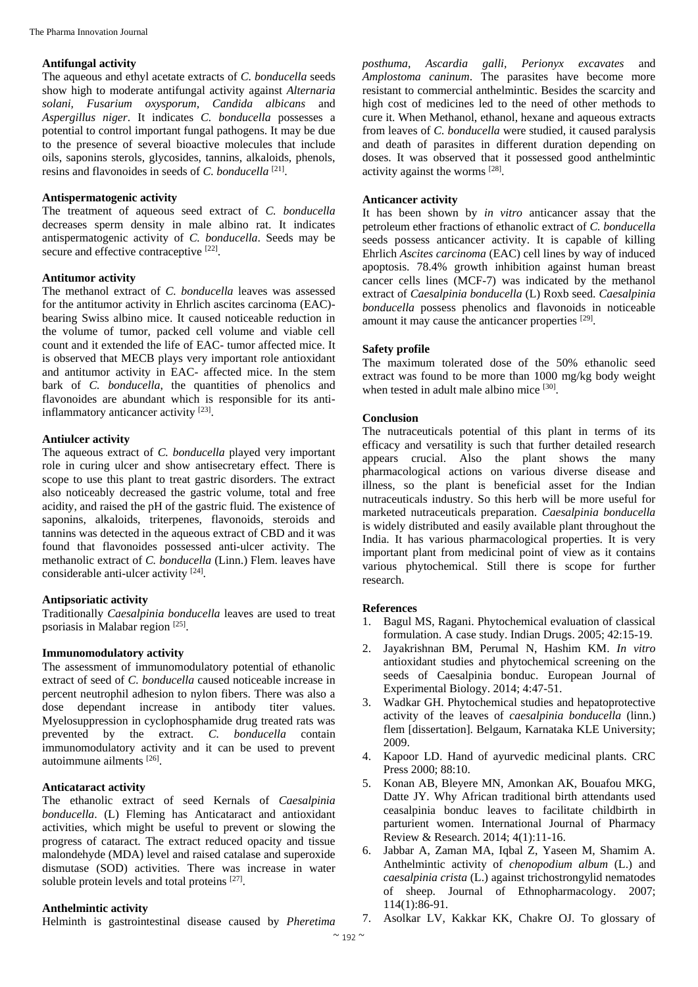# **Antifungal activity**

The aqueous and ethyl acetate extracts of *C. bonducella* seeds show high to moderate antifungal activity against *Alternaria solani, Fusarium oxysporum, Candida albicans* and *Aspergillus niger*. It indicates *C. bonducella* possesses a potential to control important fungal pathogens. It may be due to the presence of several bioactive molecules that include oils, saponins sterols, glycosides, tannins, alkaloids, phenols, resins and flavonoides in seeds of *C. bonducella* [21] .

# **Antispermatogenic activity**

The treatment of aqueous seed extract of *C. bonducella* decreases sperm density in male albino rat. It indicates antispermatogenic activity of *C. bonducella*. Seeds may be secure and effective contraceptive [22].

# **Antitumor activity**

The methanol extract of *C. bonducella* leaves was assessed for the antitumor activity in Ehrlich ascites carcinoma (EAC) bearing Swiss albino mice. It caused noticeable reduction in the volume of tumor, packed cell volume and viable cell count and it extended the life of EAC- tumor affected mice. It is observed that MECB plays very important role antioxidant and antitumor activity in EAC- affected mice. In the stem bark of *C. bonducella*, the quantities of phenolics and flavonoides are abundant which is responsible for its antiinflammatory anticancer activity<sup>[23]</sup>.

# **Antiulcer activity**

The aqueous extract of *C. bonducella* played very important role in curing ulcer and show antisecretary effect. There is scope to use this plant to treat gastric disorders. The extract also noticeably decreased the gastric volume, total and free acidity, and raised the pH of the gastric fluid. The existence of saponins, alkaloids, triterpenes, flavonoids, steroids and tannins was detected in the aqueous extract of CBD and it was found that flavonoides possessed anti-ulcer activity. The methanolic extract of *C. bonducella* (Linn.) Flem. leaves have considerable anti-ulcer activity [24].

# **Antipsoriatic activity**

Traditionally *Caesalpinia bonducella* leaves are used to treat psoriasis in Malabar region<sup>[25]</sup>.

# **Immunomodulatory activity**

The assessment of immunomodulatory potential of ethanolic extract of seed of *C. bonducella* caused noticeable increase in percent neutrophil adhesion to nylon fibers. There was also a dose dependant increase in antibody titer values. Myelosuppression in cyclophosphamide drug treated rats was prevented by the extract. *C. bonducella* contain immunomodulatory activity and it can be used to prevent autoimmune ailments [26].

# **Anticataract activity**

The ethanolic extract of seed Kernals of *Caesalpinia bonducella*. (L) Fleming has Anticataract and antioxidant activities, which might be useful to prevent or slowing the progress of cataract. The extract reduced opacity and tissue malondehyde (MDA) level and raised catalase and superoxide dismutase (SOD) activities. There was increase in water soluble protein levels and total proteins [27].

# **Anthelmintic activity**

Helminth is gastrointestinal disease caused by *Pheretima* 

*posthuma*, *Ascardia galli, Perionyx excavates* and *Amplostoma caninum*. The parasites have become more resistant to commercial anthelmintic. Besides the scarcity and high cost of medicines led to the need of other methods to cure it. When Methanol, ethanol, hexane and aqueous extracts from leaves of *C. bonducella* were studied, it caused paralysis and death of parasites in different duration depending on doses. It was observed that it possessed good anthelmintic activity against the worms [28] .

# **Anticancer activity**

It has been shown by *in vitro* anticancer assay that the petroleum ether fractions of ethanolic extract of *C. bonducella* seeds possess anticancer activity. It is capable of killing Ehrlich *Ascites carcinoma* (EAC) cell lines by way of induced apoptosis. 78.4% growth inhibition against human breast cancer cells lines (MCF-7) was indicated by the methanol extract of *Caesalpinia bonducella* (L) Roxb seed. *Caesalpinia bonducella* possess phenolics and flavonoids in noticeable amount it may cause the anticancer properties [29].

# **Safety profile**

The maximum tolerated dose of the 50% ethanolic seed extract was found to be more than 1000 mg/kg body weight when tested in adult male albino mice [30].

# **Conclusion**

The nutraceuticals potential of this plant in terms of its efficacy and versatility is such that further detailed research appears crucial. Also the plant shows the many pharmacological actions on various diverse disease and illness, so the plant is beneficial asset for the Indian nutraceuticals industry. So this herb will be more useful for marketed nutraceuticals preparation. *Caesalpinia bonducella* is widely distributed and easily available plant throughout the India. It has various pharmacological properties. It is very important plant from medicinal point of view as it contains various phytochemical. Still there is scope for further research.

#### **References**

- 1. Bagul MS, Ragani. Phytochemical evaluation of classical formulation. A case study. Indian Drugs. 2005; 42:15-19.
- 2. Jayakrishnan BM, Perumal N, Hashim KM. *In vitro* antioxidant studies and phytochemical screening on the seeds of Caesalpinia bonduc. European Journal of Experimental Biology. 2014; 4:47-51.
- 3. Wadkar GH. Phytochemical studies and hepatoprotective activity of the leaves of *caesalpinia bonducella* (linn.) flem [dissertation]. Belgaum, Karnataka KLE University; 2009.
- 4. Kapoor LD. Hand of ayurvedic medicinal plants. CRC Press 2000; 88:10.
- 5. Konan AB, Bleyere MN, Amonkan AK, Bouafou MKG, Datte JY. Why African traditional birth attendants used ceasalpinia bonduc leaves to facilitate childbirth in parturient women. International Journal of Pharmacy Review & Research. 2014; 4(1):11-16.
- 6. Jabbar A, Zaman MA, Iqbal Z, Yaseen M, Shamim A. Anthelmintic activity of *chenopodium album* (L.) and *caesalpinia crista* (L.) against trichostrongylid nematodes of sheep. Journal of Ethnopharmacology. 2007; 114(1):86-91.
- 7. Asolkar LV, Kakkar KK, Chakre OJ. To glossary of